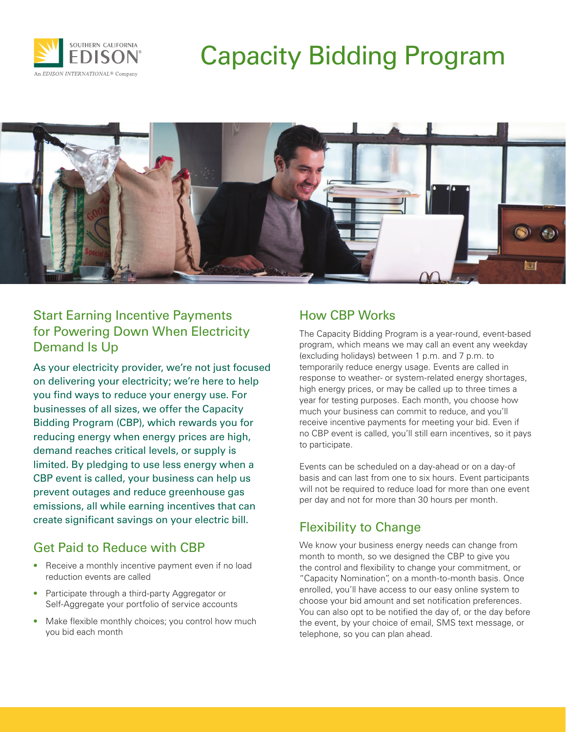

# Capacity Bidding Program



### Start Earning Incentive Payments for Powering Down When Electricity Demand Is Up

As your electricity provider, we're not just focused on delivering your electricity; we're here to help you find ways to reduce your energy use. For businesses of all sizes, we offer the Capacity Bidding Program (CBP), which rewards you for reducing energy when energy prices are high, demand reaches critical levels, or supply is limited. By pledging to use less energy when a CBP event is called, your business can help us prevent outages and reduce greenhouse gas emissions, all while earning incentives that can create significant savings on your electric bill.

#### Get Paid to Reduce with CBP

- Receive a monthly incentive payment even if no load reduction events are called
- Participate through a third-party Aggregator or Self-Aggregate your portfolio of service accounts
- Make flexible monthly choices; you control how much you bid each month

## How CBP Works

The Capacity Bidding Program is a year-round, event-based program, which means we may call an event any weekday (excluding holidays) between 1 p.m. and 7 p.m. to temporarily reduce energy usage. Events are called in response to weather- or system-related energy shortages, high energy prices, or may be called up to three times a year for testing purposes. Each month, you choose how much your business can commit to reduce, and you'll receive incentive payments for meeting your bid. Even if no CBP event is called, you'll still earn incentives, so it pays to participate.

Events can be scheduled on a day-ahead or on a day-of basis and can last from one to six hours. Event participants will not be required to reduce load for more than one event per day and not for more than 30 hours per month.

# Flexibility to Change

We know your business energy needs can change from month to month, so we designed the CBP to give you the control and flexibility to change your commitment, or "Capacity Nomination", on a month-to-month basis. Once enrolled, you'll have access to our easy online system to choose your bid amount and set notification preferences. You can also opt to be notified the day of, or the day before the event, by your choice of email, SMS text message, or telephone, so you can plan ahead.